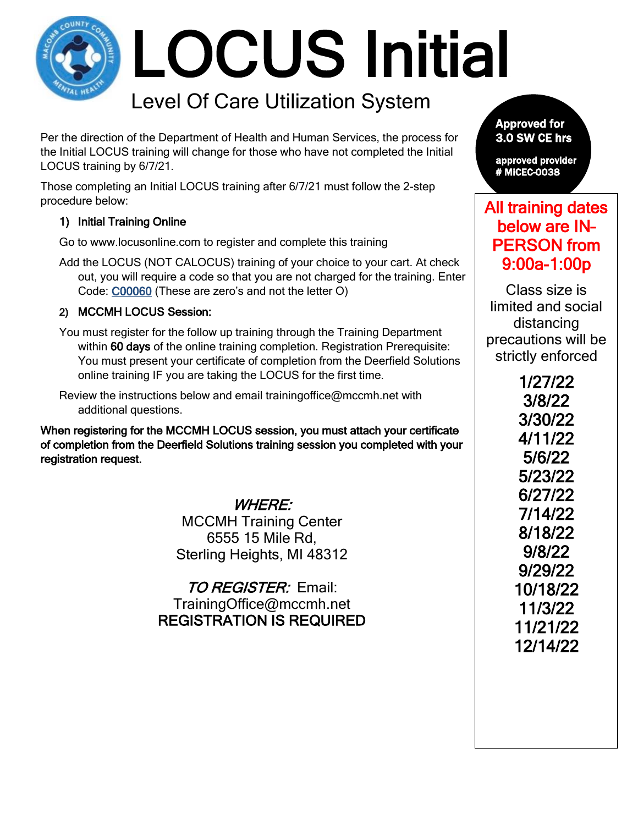# LOCUS Initial

## Level Of Care Utilization System

Per the direction of the Department of Health and Human Services, the process for the Initial LOCUS training will change for those who have not completed the Initial LOCUS training by 6/7/21.

Those completing an Initial LOCUS training after 6/7/21 must follow the 2-step procedure below:

#### 1) Initial Training Online

Go to www.locusonline.com to register and complete this training

Add the LOCUS (NOT CALOCUS) training of your choice to your cart. At check out, you will require a code so that you are not charged for the training. Enter Code: C00060 (These are zero's and not the letter O)

#### 2) MCCMH LOCUS Session:

You must register for the follow up training through the Training Department within 60 days of the online training completion. Registration Prerequisite: You must present your certificate of completion from the Deerfield Solutions online training IF you are taking the LOCUS for the first time.

Review the instructions below and email trainingoffice@mccmh.net with additional questions.

When registering for the MCCMH LOCUS session, you must attach your certificate of completion from the Deerfield Solutions training session you completed with your registration request.

WHERE:

MCCMH Training Center 6555 15 Mile Rd, Sterling Heights, MI 48312

TO REGISTER: Email: TrainingOffice@mccmh.net REGISTRATION IS REQUIRED

Approved for 3.0 SW CE hrs

approved provider # MiCEC-0038

## All training dates below are IN– PERSON from 9:00a-1:00p

Class size is limited and social distancing precautions will be strictly enforced

> 1/27/22 3/8/22 3/30/22 4/11/22 5/6/22 5/23/22 6/27/22 7/14/22 8/18/22 9/8/22 9/29/22 10/18/22 11/3/22 11/21/22 12/14/22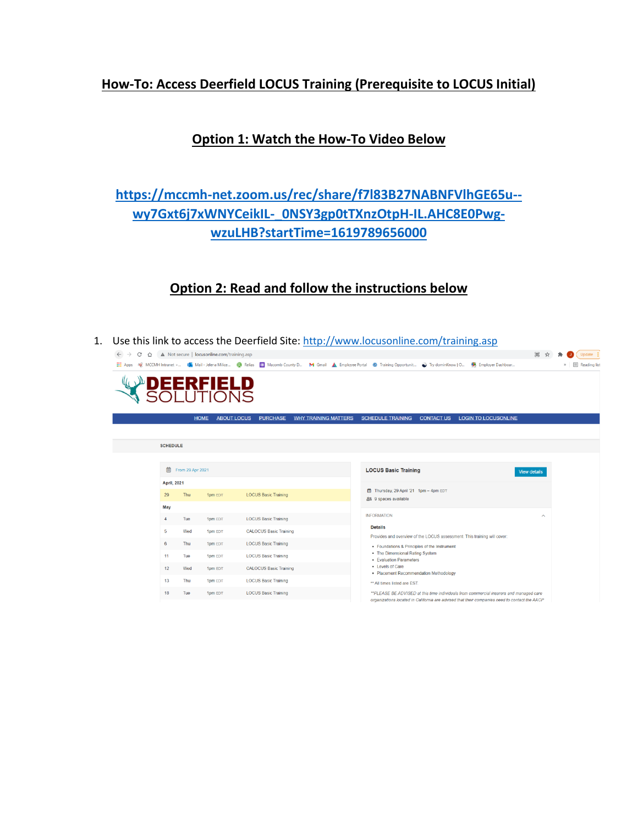## **How-To: Access Deerfield LOCUS Training (Prerequisite to LOCUS Initial)**

## **Option 1: Watch the How-To Video Below**

## **[https://mccmh-net.zoom.us/rec/share/f7l83B27NABNFVlhGE65u-](https://mccmh-net.zoom.us/rec/share/f7l83B27NABNFVlhGE65u--wy7Gxt6j7xWNYCeikIL-_0NSY3gp0tTXnzOtpH-IL.AHC8E0Pwg-wzuLHB?startTime=1619789656000) [wy7Gxt6j7xWNYCeikIL-\\_0NSY3gp0tTXnzOtpH-IL.AHC8E0Pwg](https://mccmh-net.zoom.us/rec/share/f7l83B27NABNFVlhGE65u--wy7Gxt6j7xWNYCeikIL-_0NSY3gp0tTXnzOtpH-IL.AHC8E0Pwg-wzuLHB?startTime=1619789656000)[wzuLHB?startTime=1619789656000](https://mccmh-net.zoom.us/rec/share/f7l83B27NABNFVlhGE65u--wy7Gxt6j7xWNYCeikIL-_0NSY3gp0tTXnzOtpH-IL.AHC8E0Pwg-wzuLHB?startTime=1619789656000)**

## **Option 2: Read and follow the instructions below**

1. Use this link to access the Deerfield Site:<http://www.locusonline.com/training.asp>

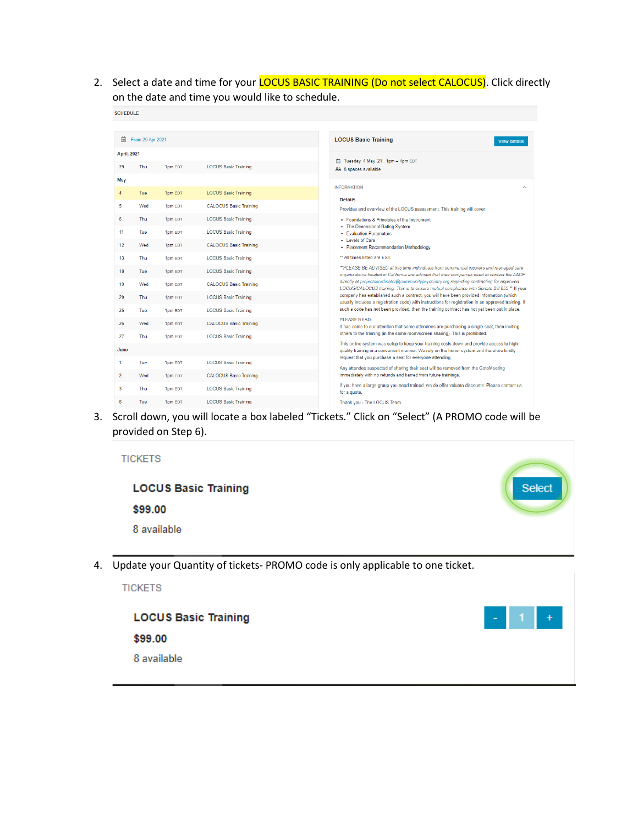2. Select a date and time for your **LOCUS BASIC TRAINING (Do not select CALOCUS)**. Click directly on the date and time you would like to schedule.

| <b>SCHEDULE</b>    |                  |         |                               |                                                                                                                                                                                                                |  |  |
|--------------------|------------------|---------|-------------------------------|----------------------------------------------------------------------------------------------------------------------------------------------------------------------------------------------------------------|--|--|
|                    |                  |         |                               |                                                                                                                                                                                                                |  |  |
| 曲                  | From 29 Apr 2021 |         |                               | <b>LOCUS Basic Training</b><br><b>View details</b>                                                                                                                                                             |  |  |
| <b>April, 2021</b> |                  |         |                               |                                                                                                                                                                                                                |  |  |
| 29                 | Thu              | 1pm EDT | <b>LOCUS Basic Training</b>   | □ Tuesday, 4 May '21 1pm - 4pm EDT<br>88 8 spaces available                                                                                                                                                    |  |  |
| May                |                  |         |                               |                                                                                                                                                                                                                |  |  |
| $\overline{4}$     | Tue              | 1pm EDT | <b>LOCUS Basic Training</b>   | <b>INFORMATION</b>                                                                                                                                                                                             |  |  |
| 5                  | Wed              | 1pm EDT | <b>CALOCUS Basic Training</b> | <b>Details</b><br>Provides and overview of the LOCUS assessment. This training will cover:                                                                                                                     |  |  |
| 6                  | <b>Thu</b>       | 1pm EDT | <b>LOCUS Basic Training</b>   | • Foundations & Principles of the Instrument                                                                                                                                                                   |  |  |
| 11                 | Tue              | 1pm EDT | <b>LOCUS Basic Training</b>   | • The Dimensional Rating System<br>• Evaluation Parameters                                                                                                                                                     |  |  |
| 12                 | Wed              | 1pm EDT | <b>CALOCUS Basic Training</b> | • Levels of Care<br>• Placement Recommendation Methodology                                                                                                                                                     |  |  |
| 13                 | Thu              | 1pm EDT | <b>LOCUS Basic Training</b>   | ** All times listed are EST.                                                                                                                                                                                   |  |  |
| 18                 | Tue              | 1pm EDT | <b>LOCUS Basic Training</b>   | **PLEASE BE ADVISED at this time individuals from commercial insurers and managed care<br>organizations located in California are advised that their companies need to contact the AACP                        |  |  |
| 19                 | Wed              | 1pm EDT | <b>CALOCUS Basic Training</b> | directly at projectcoordinator@communitypsychiatry.org regarding contracting for approved<br>LOCUS/CALOCUS training. This is to ensure mutual compliance with Senate Bill 855 ** If your                       |  |  |
| 20                 | Thu              | 1pm EDT | <b>LOCUS Basic Training</b>   | company has established such a contract, you will have been provided information (which<br>usually includes a registration code) with instructions for registration in an approved training. If                |  |  |
| 25                 | Tue              | 1pm EDT | <b>LOCUS Basic Training</b>   | such a code has not been provided, then the training contract has not yet been put in place.                                                                                                                   |  |  |
| 26                 | Wed              | 1pm EDT | <b>CALOCUS Basic Training</b> | PI FASE READ:<br>It has come to our attention that some attendees are purchasing a single-seat, then inviting                                                                                                  |  |  |
| 27                 | Thu              | 1pm EDT | <b>LOCUS Basic Training</b>   | others to the training (in the same room/screen sharing). This is prohibited.                                                                                                                                  |  |  |
| June               |                  |         |                               | This online system was setup to keep your training costs down and provide access to high-<br>quality training in a convenient manner. We rely on the honor system and therefore kindly                         |  |  |
| 1                  | Tue              | 1pm EDT | <b>LOCUS Basic Training</b>   | request that you purchase a seat for everyone attending.<br>Any attendee suspected of sharing their seat will be removed from the GotoMeeting<br>immediately with no refunds and barred from future trainings. |  |  |
| $\overline{2}$     | Wed              | 1pm EDT | <b>CALOCUS Basic Training</b> |                                                                                                                                                                                                                |  |  |
| 3                  | Thu              | 1pm EDT | <b>LOCUS Basic Training</b>   | If you have a large group you need trained, we do offer volume discounts. Please contact us<br>for a quote.                                                                                                    |  |  |
| 8                  | Tue              | 1pm EDT | <b>LOCUS Basic Training</b>   | Thank you - The LOCUS Team                                                                                                                                                                                     |  |  |

3. Scroll down, you will locate a box labeled "Tickets." Click on "Select" (A PROMO code will be provided on Step 6).

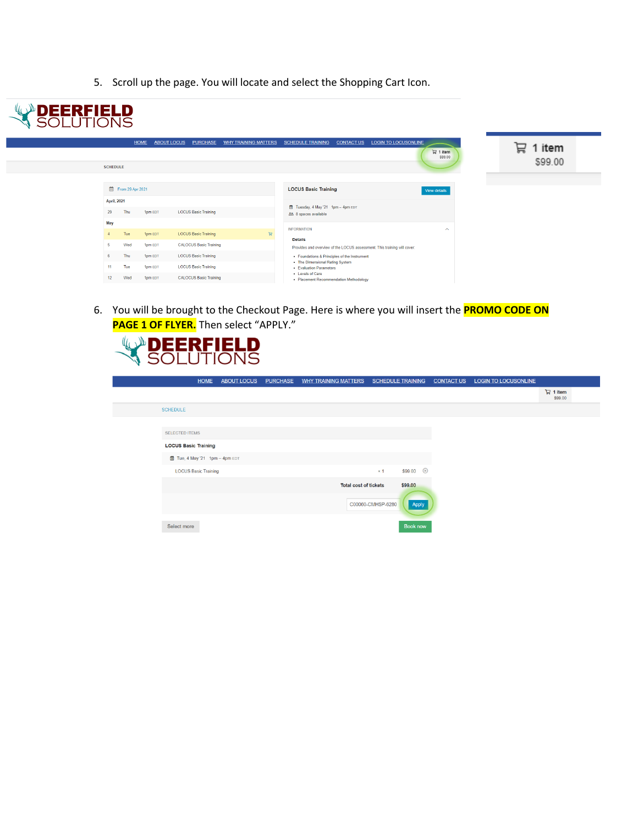5. Scroll up the page. You will locate and select the Shopping Cart Icon.



6. You will be brought to the Checkout Page. Here is where you will insert the **PROMO CODE ON PAGE 1 OF FLYER.** Then select "APPLY."

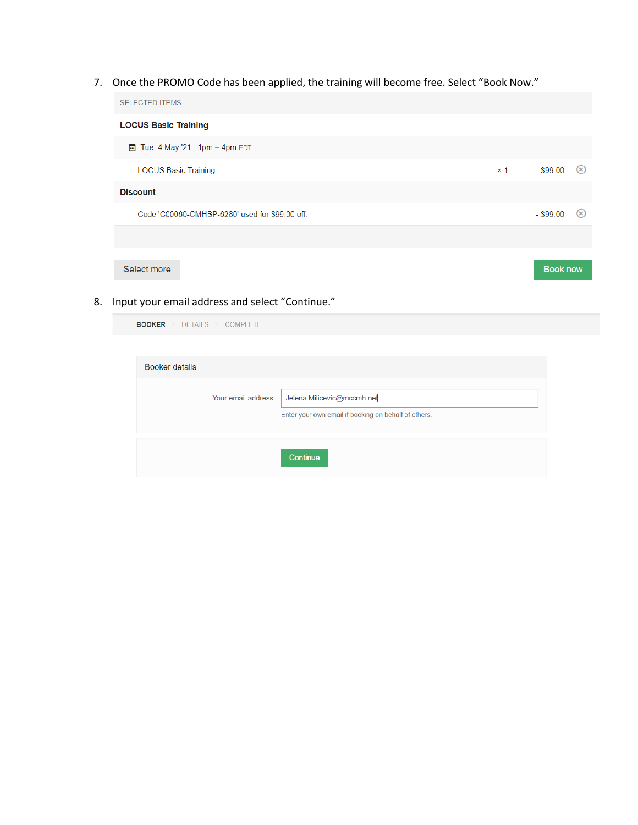7. Once the PROMO Code has been applied, the training will become free. Select "Book Now."

| <b>SELECTED ITEMS</b>                          |            |             |                 |
|------------------------------------------------|------------|-------------|-----------------|
| <b>LOCUS Basic Training</b>                    |            |             |                 |
| 茴 Tue, 4 May '21 1pm - 4pm EDT                 |            |             |                 |
| <b>LOCUS Basic Training</b>                    | $\times$ 1 | \$99.00     | $(\times)$      |
| <b>Discount</b>                                |            |             |                 |
| Code 'C00060-CMHSP-6280' used for \$99.00 off. |            | $-$ \$99.00 | $(\times)$      |
|                                                |            |             |                 |
| Select more                                    |            |             | <b>Book now</b> |

8. Input your email address and select "Continue."

DETAILS > COMPLETE

**BOOKER** 

| Booker details |                    |                                                                                    |  |
|----------------|--------------------|------------------------------------------------------------------------------------|--|
|                | Your email address | Jelena.Milicevic@mccmh.net<br>Enter your own email if booking on behalf of others. |  |
|                |                    | Continue                                                                           |  |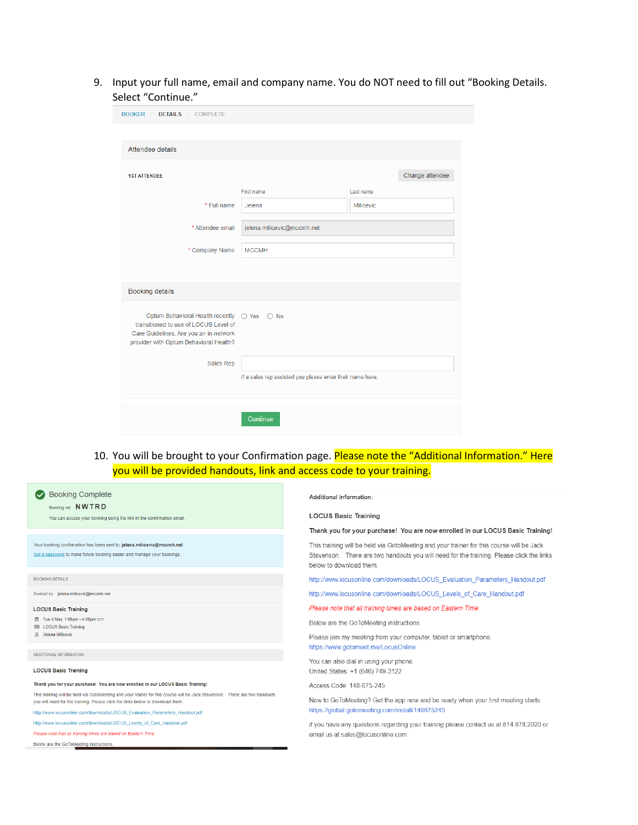9. Input your full name, email and company name. You do NOT need to fill out "Booking Details. Select "Continue."

| $\texttt{BOOKER} > \texttt{DETAILS} > \texttt{COMPLETE}$                                                                                                                 |                                                           |           |                 |
|--------------------------------------------------------------------------------------------------------------------------------------------------------------------------|-----------------------------------------------------------|-----------|-----------------|
|                                                                                                                                                                          |                                                           |           |                 |
| Attendee details                                                                                                                                                         |                                                           |           |                 |
|                                                                                                                                                                          |                                                           |           |                 |
| <b>1ST ATTENDEE</b>                                                                                                                                                      |                                                           |           | Change attendee |
|                                                                                                                                                                          | <b>First name</b>                                         | Last name |                 |
| * Full name                                                                                                                                                              | Jelena                                                    | Milicevic |                 |
| * Attendee email                                                                                                                                                         | jelena.milicevic@mccmh.net                                |           |                 |
| * Company Name                                                                                                                                                           | <b>MCCMH</b>                                              |           |                 |
|                                                                                                                                                                          |                                                           |           |                 |
| <b>Booking details</b>                                                                                                                                                   |                                                           |           |                 |
|                                                                                                                                                                          |                                                           |           |                 |
| Optum Behavioral Health recently ○ Yes ○ No<br>transitioned to use of LOCUS Level of<br>Care Guidelines. Are you an in-network<br>provider with Optum Behavioral Health? |                                                           |           |                 |
|                                                                                                                                                                          |                                                           |           |                 |
| Sales Rep                                                                                                                                                                |                                                           |           |                 |
|                                                                                                                                                                          | If a sales rep assisted you please enter their name here. |           |                 |
|                                                                                                                                                                          |                                                           |           |                 |
|                                                                                                                                                                          | Continue                                                  |           |                 |

10. You will be brought to your Confirmation page. Please note the "Additional Information." Here you will be provided handouts, link and access code to your training.

| <b>Booking Complete</b><br>Booking ref: NWTRD                                                                                                                                                                | Additional information:                                                                                                                                                                                         |  |  |  |
|--------------------------------------------------------------------------------------------------------------------------------------------------------------------------------------------------------------|-----------------------------------------------------------------------------------------------------------------------------------------------------------------------------------------------------------------|--|--|--|
| You can access your booking using the link in the confirmation email.                                                                                                                                        | <b>LOCUS Basic Training</b>                                                                                                                                                                                     |  |  |  |
|                                                                                                                                                                                                              | Thank you for your purchase! You are now enrolled in our LOCUS Basic Training!                                                                                                                                  |  |  |  |
| Your booking confirmation has been sent to: jelena.milicevic@mccmh.net<br>Set a password to make future booking easier and manage your bookings.                                                             | This training will be held via GotoMeeting and your trainer for this course will be Jack<br>Stevenson. There are two handouts you will need for the training. Please click the links<br>below to download them. |  |  |  |
| <b>BOOKING DETAILS</b>                                                                                                                                                                                       | http://www.locusonline.com/downloads/LOCUS Evaluation Parameters Handout.pdf                                                                                                                                    |  |  |  |
| Booked by: jelena.milicevic@mccmh.net                                                                                                                                                                        | http://www.locusonline.com/downloads/LOCUS Levels of Care Handout.pdf                                                                                                                                           |  |  |  |
| <b>LOCUS Basic Training</b>                                                                                                                                                                                  | Please note that all training times are based on Eastern Time.                                                                                                                                                  |  |  |  |
| 茴 Tue 4 May, 1:00pm - 4:00pm EDT<br><b>EB</b> LOCUS Basic Training                                                                                                                                           | Below are the GoToMeeting instructions.                                                                                                                                                                         |  |  |  |
| 8 Jelena Milicevic                                                                                                                                                                                           | Please join my meeting from your computer, tablet or smartphone.                                                                                                                                                |  |  |  |
| ADDITIONAL INFORMATION                                                                                                                                                                                       | https://www.gotomeet.me/LocusOnline                                                                                                                                                                             |  |  |  |
|                                                                                                                                                                                                              | You can also dial in using your phone.                                                                                                                                                                          |  |  |  |
| <b>LOCUS Basic Training</b>                                                                                                                                                                                  | United States: +1 (646) 749-3122                                                                                                                                                                                |  |  |  |
| Thank you for your purchase! You are now enrolled in our LOCUS Basic Training!                                                                                                                               | Access Code: 148-675-245                                                                                                                                                                                        |  |  |  |
| This training will be held via GotoMeeting and your trainer for this course will be Jack Stevenson. There are two handouts<br>you will need for the training. Please click the links below to download them. | New to GoToMeeting? Get the app now and be ready when your first meeting starts:<br>https://global.gotomeeting.com/install/148675245                                                                            |  |  |  |
| http://www.locusonline.com/downloads/LOCUS Evaluation Parameters Handout.pdf                                                                                                                                 |                                                                                                                                                                                                                 |  |  |  |
| http://www.locusonline.com/downloads/LOCUS Levels of Care Handout.pdf                                                                                                                                        | if you have any questions regarding your training please contact us at 814.878.2020 or<br>email us at sales@locusonline.com.                                                                                    |  |  |  |
| Please note that all training times are based on Eastern Time.                                                                                                                                               |                                                                                                                                                                                                                 |  |  |  |
| Below are the GoToMeeting instructions                                                                                                                                                                       |                                                                                                                                                                                                                 |  |  |  |
|                                                                                                                                                                                                              |                                                                                                                                                                                                                 |  |  |  |